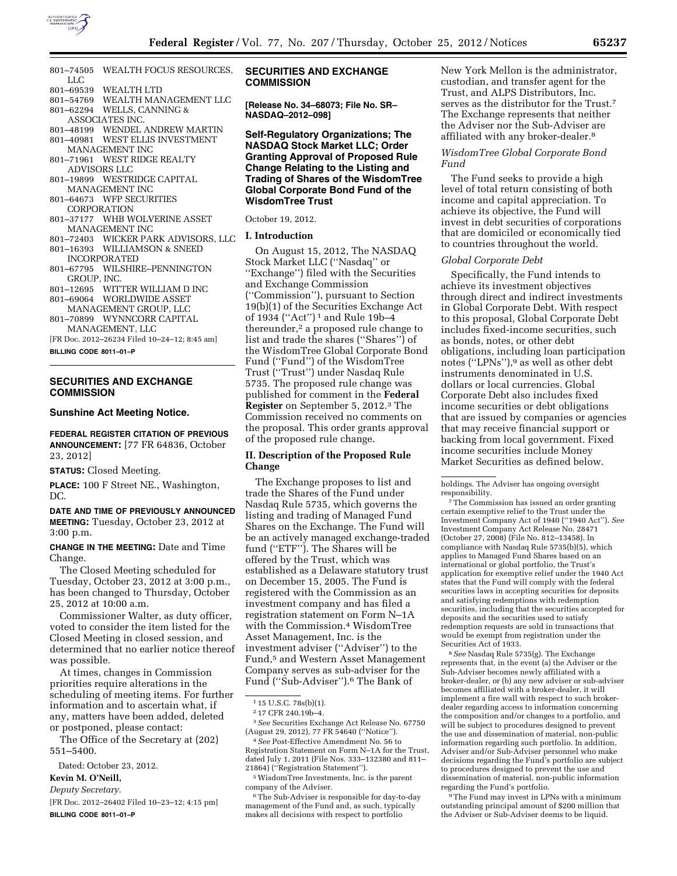

- 801–74505 WEALTH FOCUS RESOURCES, LLC<br>801–69539
- WEALTH LTD 801–54769 WEALTH MANAGEMENT LLC
- 801–62294 WELLS, CANNING &
- ASSOCIATES INC.
- 801–48199 WENDEL ANDREW MARTIN
- 801–40981 WEST ELLIS INVESTMENT
- MANAGEMENT INC 801–71961 WEST RIDGE REALTY
- ADVISORS LLC 801–19899 WESTRIDGE CAPITAL
- MANAGEMENT INC
- 801–64673 WFP SECURITIES CORPORATION
- 801–37177 WHB WOLVERINE ASSET MANAGEMENT INC
- 801–72403 WICKER PARK ADVISORS, LLC
- 801–16393 WILLIAMSON & SNEED INCORPORATED 801–67795 WILSHIRE–PENNINGTON
- GROUP, INC.
- 801–12695 WITTER WILLIAM D INC 801–69064 WORLDWIDE ASSET
- MANAGEMENT GROUP, LLC 801–70899 WYNNCORR CAPITAL
- MANAGEMENT, LLC
- [FR Doc. 2012–26234 Filed 10–24–12; 8:45 am]

**BILLING CODE 8011–01–P** 

# **SECURITIES AND EXCHANGE COMMISSION**

### **Sunshine Act Meeting Notice.**

**FEDERAL REGISTER CITATION OF PREVIOUS ANNOUNCEMENT:** [77 FR 64836, October 23, 2012]

**STATUS:** Closed Meeting.

**PLACE:** 100 F Street NE., Washington, DC.

**DATE AND TIME OF PREVIOUSLY ANNOUNCED MEETING:** Tuesday, October 23, 2012 at 3:00 p.m.

**CHANGE IN THE MEETING:** Date and Time Change.

The Closed Meeting scheduled for Tuesday, October 23, 2012 at 3:00 p.m., has been changed to Thursday, October 25, 2012 at 10:00 a.m.

Commissioner Walter, as duty officer, voted to consider the item listed for the Closed Meeting in closed session, and determined that no earlier notice thereof was possible.

At times, changes in Commission priorities require alterations in the scheduling of meeting items. For further information and to ascertain what, if any, matters have been added, deleted or postponed, please contact:

The Office of the Secretary at (202) 551–5400.

*Deputy Secretary.* 

[FR Doc. 2012–26402 Filed 10–23–12; 4:15 pm] **BILLING CODE 8011–01–P** 

# **SECURITIES AND EXCHANGE COMMISSION**

**[Release No. 34–68073; File No. SR– NASDAQ–2012–098]** 

## **Self-Regulatory Organizations; The NASDAQ Stock Market LLC; Order Granting Approval of Proposed Rule Change Relating to the Listing and Trading of Shares of the WisdomTree Global Corporate Bond Fund of the WisdomTree Trust**

## October 19, 2012.

## **I. Introduction**

On August 15, 2012, The NASDAQ Stock Market LLC (''Nasdaq'' or ''Exchange'') filed with the Securities and Exchange Commission (''Commission''), pursuant to Section 19(b)(1) of the Securities Exchange Act of 1934 (''Act'') 1 and Rule 19b–4 thereunder,2 a proposed rule change to list and trade the shares (''Shares'') of the WisdomTree Global Corporate Bond Fund (''Fund'') of the WisdomTree Trust (''Trust'') under Nasdaq Rule 5735. The proposed rule change was published for comment in the **Federal Register** on September 5, 2012.3 The Commission received no comments on the proposal. This order grants approval of the proposed rule change.

# **II. Description of the Proposed Rule Change**

The Exchange proposes to list and trade the Shares of the Fund under Nasdaq Rule 5735, which governs the listing and trading of Managed Fund Shares on the Exchange. The Fund will be an actively managed exchange-traded fund (''ETF''). The Shares will be offered by the Trust, which was established as a Delaware statutory trust on December 15, 2005. The Fund is registered with the Commission as an investment company and has filed a registration statement on Form N–1A with the Commission.4 WisdomTree Asset Management, Inc. is the investment adviser (''Adviser'') to the Fund,5 and Western Asset Management Company serves as sub-adviser for the Fund (''Sub-Adviser'').6 The Bank of

4*See* Post-Effective Amendment No. 56 to Registration Statement on Form N–1A for the Trust, dated July 1, 2011 (File Nos. 333–132380 and 811– 21864) (''Registration Statement'').

5WisdomTree Investments, Inc. is the parent company of the Adviser.

<sup>6</sup>The Sub-Adviser is responsible for day-to-day management of the Fund and, as such, typically makes all decisions with respect to portfolio

New York Mellon is the administrator, custodian, and transfer agent for the Trust, and ALPS Distributors, Inc. serves as the distributor for the Trust.7 The Exchange represents that neither the Adviser nor the Sub-Adviser are affiliated with any broker-dealer.8

## *WisdomTree Global Corporate Bond Fund*

The Fund seeks to provide a high level of total return consisting of both income and capital appreciation. To achieve its objective, the Fund will invest in debt securities of corporations that are domiciled or economically tied to countries throughout the world.

#### *Global Corporate Debt*

Specifically, the Fund intends to achieve its investment objectives through direct and indirect investments in Global Corporate Debt. With respect to this proposal, Global Corporate Debt includes fixed-income securities, such as bonds, notes, or other debt obligations, including loan participation notes (''LPNs''),9 as well as other debt instruments denominated in U.S. dollars or local currencies. Global Corporate Debt also includes fixed income securities or debt obligations that are issued by companies or agencies that may receive financial support or backing from local government. Fixed income securities include Money Market Securities as defined below.

7The Commission has issued an order granting certain exemptive relief to the Trust under the Investment Company Act of 1940 (''1940 Act''). *See*  Investment Company Act Release No. 28471 (October 27, 2008) (File No. 812–13458). In compliance with Nasdaq Rule 5735(b)(5), which applies to Managed Fund Shares based on an international or global portfolio, the Trust's application for exemptive relief under the 1940 Act states that the Fund will comply with the federal securities laws in accepting securities for deposits and satisfying redemptions with redemption securities, including that the securities accepted for deposits and the securities used to satisfy redemption requests are sold in transactions that would be exempt from registration under the Securities Act of 1933.

8*See* Nasdaq Rule 5735(g). The Exchange represents that, in the event (a) the Adviser or the Sub-Adviser becomes newly affiliated with a broker-dealer, or (b) any new adviser or sub-adviser becomes affiliated with a broker-dealer, it will implement a fire wall with respect to such brokerdealer regarding access to information concerning the composition and/or changes to a portfolio, and will be subject to procedures designed to prevent the use and dissemination of material, non-public information regarding such portfolio. In addition, Adviser and/or Sub-Adviser personnel who make decisions regarding the Fund's portfolio are subject to procedures designed to prevent the use and dissemination of material, non-public information regarding the Fund's portfolio.

9The Fund may invest in LPNs with a minimum outstanding principal amount of \$200 million that the Adviser or Sub-Adviser deems to be liquid.

Dated: October 23, 2012.

**Kevin M. O'Neill,** 

<sup>1</sup> 15 U.S.C. 78s(b)(1).

<sup>2</sup> 17 CFR 240.19b–4.

<sup>3</sup>*See* Securities Exchange Act Release No. 67750 (August 29, 2012), 77 FR 54640 (''Notice'').

holdings. The Adviser has ongoing oversight responsibility.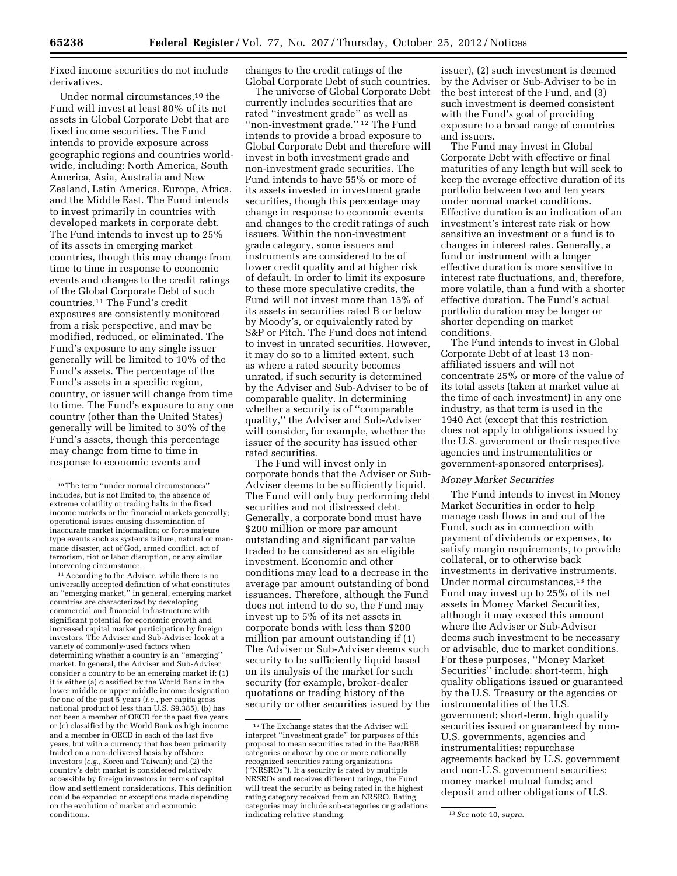Fixed income securities do not include derivatives.

Under normal circumstances,<sup>10</sup> the Fund will invest at least 80% of its net assets in Global Corporate Debt that are fixed income securities. The Fund intends to provide exposure across geographic regions and countries worldwide, including: North America, South America, Asia, Australia and New Zealand, Latin America, Europe, Africa, and the Middle East. The Fund intends to invest primarily in countries with developed markets in corporate debt. The Fund intends to invest up to 25% of its assets in emerging market countries, though this may change from time to time in response to economic events and changes to the credit ratings of the Global Corporate Debt of such countries.11 The Fund's credit exposures are consistently monitored from a risk perspective, and may be modified, reduced, or eliminated. The Fund's exposure to any single issuer generally will be limited to 10% of the Fund's assets. The percentage of the Fund's assets in a specific region, country, or issuer will change from time to time. The Fund's exposure to any one country (other than the United States) generally will be limited to 30% of the Fund's assets, though this percentage may change from time to time in response to economic events and

11According to the Adviser, while there is no universally accepted definition of what constitutes an ''emerging market,'' in general, emerging market countries are characterized by developing commercial and financial infrastructure with significant potential for economic growth and increased capital market participation by foreign investors. The Adviser and Sub-Adviser look at a variety of commonly-used factors when determining whether a country is an ''emerging'' market. In general, the Adviser and Sub-Adviser consider a country to be an emerging market if: (1) it is either (a) classified by the World Bank in the lower middle or upper middle income designation for one of the past 5 years (*i.e.,* per capita gross national product of less than U.S. \$9,385), (b) has not been a member of OECD for the past five years or (c) classified by the World Bank as high income and a member in OECD in each of the last five years, but with a currency that has been primarily traded on a non-delivered basis by offshore investors (*e.g.,* Korea and Taiwan); and (2) the country's debt market is considered relatively accessible by foreign investors in terms of capital flow and settlement considerations. This definition could be expanded or exceptions made depending on the evolution of market and economic conditions.

changes to the credit ratings of the Global Corporate Debt of such countries.

The universe of Global Corporate Debt currently includes securities that are rated ''investment grade'' as well as "non-investment grade."<sup>12</sup> The Fund intends to provide a broad exposure to Global Corporate Debt and therefore will invest in both investment grade and non-investment grade securities. The Fund intends to have 55% or more of its assets invested in investment grade securities, though this percentage may change in response to economic events and changes to the credit ratings of such issuers. Within the non-investment grade category, some issuers and instruments are considered to be of lower credit quality and at higher risk of default. In order to limit its exposure to these more speculative credits, the Fund will not invest more than 15% of its assets in securities rated B or below by Moody's, or equivalently rated by S&P or Fitch. The Fund does not intend to invest in unrated securities. However, it may do so to a limited extent, such as where a rated security becomes unrated, if such security is determined by the Adviser and Sub-Adviser to be of comparable quality. In determining whether a security is of ''comparable quality,'' the Adviser and Sub-Adviser will consider, for example, whether the issuer of the security has issued other rated securities.

The Fund will invest only in corporate bonds that the Adviser or Sub-Adviser deems to be sufficiently liquid. The Fund will only buy performing debt securities and not distressed debt. Generally, a corporate bond must have \$200 million or more par amount outstanding and significant par value traded to be considered as an eligible investment. Economic and other conditions may lead to a decrease in the average par amount outstanding of bond issuances. Therefore, although the Fund does not intend to do so, the Fund may invest up to 5% of its net assets in corporate bonds with less than \$200 million par amount outstanding if (1) The Adviser or Sub-Adviser deems such security to be sufficiently liquid based on its analysis of the market for such security (for example, broker-dealer quotations or trading history of the security or other securities issued by the

issuer), (2) such investment is deemed by the Adviser or Sub-Adviser to be in the best interest of the Fund, and (3) such investment is deemed consistent with the Fund's goal of providing exposure to a broad range of countries and issuers.

The Fund may invest in Global Corporate Debt with effective or final maturities of any length but will seek to keep the average effective duration of its portfolio between two and ten years under normal market conditions. Effective duration is an indication of an investment's interest rate risk or how sensitive an investment or a fund is to changes in interest rates. Generally, a fund or instrument with a longer effective duration is more sensitive to interest rate fluctuations, and, therefore, more volatile, than a fund with a shorter effective duration. The Fund's actual portfolio duration may be longer or shorter depending on market conditions.

The Fund intends to invest in Global Corporate Debt of at least 13 nonaffiliated issuers and will not concentrate 25% or more of the value of its total assets (taken at market value at the time of each investment) in any one industry, as that term is used in the 1940 Act (except that this restriction does not apply to obligations issued by the U.S. government or their respective agencies and instrumentalities or government-sponsored enterprises).

#### *Money Market Securities*

The Fund intends to invest in Money Market Securities in order to help manage cash flows in and out of the Fund, such as in connection with payment of dividends or expenses, to satisfy margin requirements, to provide collateral, or to otherwise back investments in derivative instruments. Under normal circumstances,<sup>13</sup> the Fund may invest up to 25% of its net assets in Money Market Securities, although it may exceed this amount where the Adviser or Sub-Adviser deems such investment to be necessary or advisable, due to market conditions. For these purposes, ''Money Market Securities'' include: short-term, high quality obligations issued or guaranteed by the U.S. Treasury or the agencies or instrumentalities of the U.S. government; short-term, high quality securities issued or guaranteed by non-U.S. governments, agencies and instrumentalities; repurchase agreements backed by U.S. government and non-U.S. government securities; money market mutual funds; and deposit and other obligations of U.S.

<sup>10</sup>The term ''under normal circumstances'' includes, but is not limited to, the absence of extreme volatility or trading halts in the fixed income markets or the financial markets generally; operational issues causing dissemination of inaccurate market information; or force majeure type events such as systems failure, natural or manmade disaster, act of God, armed conflict, act of terrorism, riot or labor disruption, or any similar intervening circumstance.

<sup>&</sup>lt;sup>12</sup>The Exchange states that the Adviser will interpret ''investment grade'' for purposes of this proposal to mean securities rated in the Baa/BBB categories or above by one or more nationally recognized securities rating organizations (''NRSROs''). If a security is rated by multiple NRSROs and receives different ratings, the Fund will treat the security as being rated in the highest rating category received from an NRSRO. Rating categories may include sub-categories or gradations indicating relative standing.  $\frac{1}{3}$  and  $\frac{1}{3}$  *See* note 10, *supra*.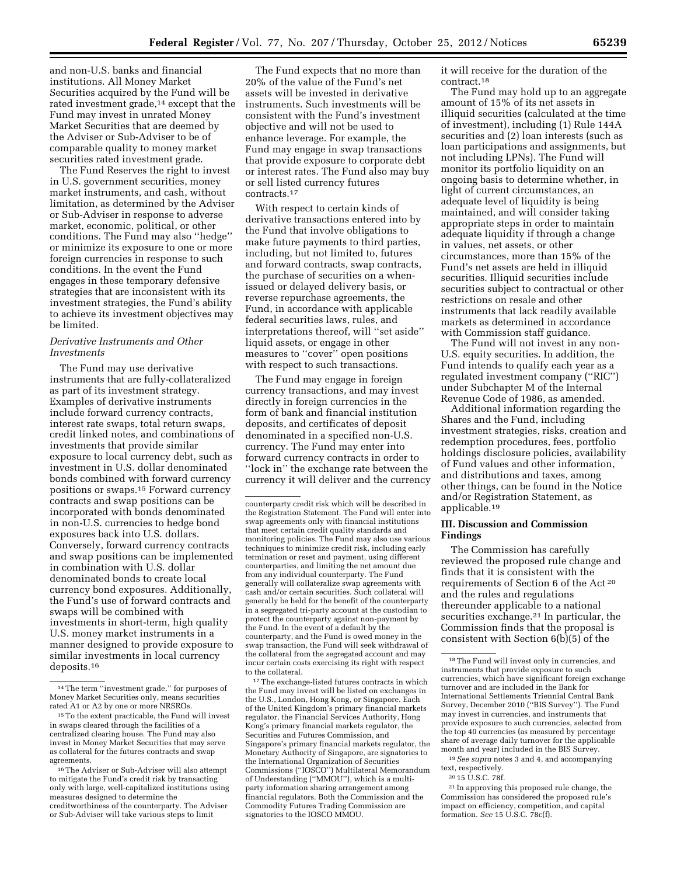and non-U.S. banks and financial institutions. All Money Market Securities acquired by the Fund will be rated investment grade,<sup>14</sup> except that the Fund may invest in unrated Money Market Securities that are deemed by the Adviser or Sub-Adviser to be of comparable quality to money market securities rated investment grade.

The Fund Reserves the right to invest in U.S. government securities, money market instruments, and cash, without limitation, as determined by the Adviser or Sub-Adviser in response to adverse market, economic, political, or other conditions. The Fund may also ''hedge'' or minimize its exposure to one or more foreign currencies in response to such conditions. In the event the Fund engages in these temporary defensive strategies that are inconsistent with its investment strategies, the Fund's ability to achieve its investment objectives may be limited.

## *Derivative Instruments and Other Investments*

The Fund may use derivative instruments that are fully-collateralized as part of its investment strategy. Examples of derivative instruments include forward currency contracts, interest rate swaps, total return swaps, credit linked notes, and combinations of investments that provide similar exposure to local currency debt, such as investment in U.S. dollar denominated bonds combined with forward currency positions or swaps.15 Forward currency contracts and swap positions can be incorporated with bonds denominated in non-U.S. currencies to hedge bond exposures back into U.S. dollars. Conversely, forward currency contracts and swap positions can be implemented in combination with U.S. dollar denominated bonds to create local currency bond exposures. Additionally, the Fund's use of forward contracts and swaps will be combined with investments in short-term, high quality U.S. money market instruments in a manner designed to provide exposure to similar investments in local currency deposits.16

The Fund expects that no more than 20% of the value of the Fund's net assets will be invested in derivative instruments. Such investments will be consistent with the Fund's investment objective and will not be used to enhance leverage. For example, the Fund may engage in swap transactions that provide exposure to corporate debt or interest rates. The Fund also may buy or sell listed currency futures contracts.17

With respect to certain kinds of derivative transactions entered into by the Fund that involve obligations to make future payments to third parties, including, but not limited to, futures and forward contracts, swap contracts, the purchase of securities on a whenissued or delayed delivery basis, or reverse repurchase agreements, the Fund, in accordance with applicable federal securities laws, rules, and interpretations thereof, will ''set aside'' liquid assets, or engage in other measures to ''cover'' open positions with respect to such transactions.

The Fund may engage in foreign currency transactions, and may invest directly in foreign currencies in the form of bank and financial institution deposits, and certificates of deposit denominated in a specified non-U.S. currency. The Fund may enter into forward currency contracts in order to ''lock in'' the exchange rate between the currency it will deliver and the currency

 $^{\rm 17}\!$  The exchange-listed futures contracts in which the Fund may invest will be listed on exchanges in the U.S., London, Hong Kong, or Singapore. Each of the United Kingdom's primary financial markets regulator, the Financial Services Authority, Hong Kong's primary financial markets regulator, the Securities and Futures Commission, and Singapore's primary financial markets regulator, the Monetary Authority of Singapore, are signatories to the International Organization of Securities Commissions (''IOSCO'') Multilateral Memorandum of Understanding (''MMOU''), which is a multiparty information sharing arrangement among financial regulators. Both the Commission and the Commodity Futures Trading Commission are signatories to the IOSCO MMOU.

it will receive for the duration of the contract.18

The Fund may hold up to an aggregate amount of 15% of its net assets in illiquid securities (calculated at the time of investment), including (1) Rule 144A securities and (2) loan interests (such as loan participations and assignments, but not including LPNs). The Fund will monitor its portfolio liquidity on an ongoing basis to determine whether, in light of current circumstances, an adequate level of liquidity is being maintained, and will consider taking appropriate steps in order to maintain adequate liquidity if through a change in values, net assets, or other circumstances, more than 15% of the Fund's net assets are held in illiquid securities. Illiquid securities include securities subject to contractual or other restrictions on resale and other instruments that lack readily available markets as determined in accordance with Commission staff guidance.

The Fund will not invest in any non-U.S. equity securities. In addition, the Fund intends to qualify each year as a regulated investment company (''RIC'') under Subchapter M of the Internal Revenue Code of 1986, as amended.

Additional information regarding the Shares and the Fund, including investment strategies, risks, creation and redemption procedures, fees, portfolio holdings disclosure policies, availability of Fund values and other information, and distributions and taxes, among other things, can be found in the Notice and/or Registration Statement, as applicable.19

## **III. Discussion and Commission Findings**

The Commission has carefully reviewed the proposed rule change and finds that it is consistent with the requirements of Section 6 of the Act 20 and the rules and regulations thereunder applicable to a national securities exchange.<sup>21</sup> In particular, the Commission finds that the proposal is consistent with Section 6(b)(5) of the

19*See supra* notes 3 and 4, and accompanying text, respectively.

20 15 U.S.C. 78f.

21 In approving this proposed rule change, the Commission has considered the proposed rule's impact on efficiency, competition, and capital formation. *See* 15 U.S.C. 78c(f).

<sup>14</sup>The term ''investment grade,'' for purposes of Money Market Securities only, means securities rated A1 or A2 by one or more NRSROs.

<sup>15</sup>To the extent practicable, the Fund will invest in swaps cleared through the facilities of a centralized clearing house. The Fund may also invest in Money Market Securities that may serve as collateral for the futures contracts and swap agreements.

<sup>16</sup>The Adviser or Sub-Adviser will also attempt to mitigate the Fund's credit risk by transacting only with large, well-capitalized institutions using measures designed to determine the creditworthiness of the counterparty. The Adviser or Sub-Adviser will take various steps to limit

counterparty credit risk which will be described in the Registration Statement. The Fund will enter into swap agreements only with financial institutions that meet certain credit quality standards and monitoring policies. The Fund may also use various techniques to minimize credit risk, including early termination or reset and payment, using different counterparties, and limiting the net amount due from any individual counterparty. The Fund generally will collateralize swap agreements with cash and/or certain securities. Such collateral will generally be held for the benefit of the counterparty in a segregated tri-party account at the custodian to protect the counterparty against non-payment by the Fund. In the event of a default by the counterparty, and the Fund is owed money in the swap transaction, the Fund will seek withdrawal of the collateral from the segregated account and may incur certain costs exercising its right with respect to the collateral.

<sup>18</sup>The Fund will invest only in currencies, and instruments that provide exposure to such currencies, which have significant foreign exchange turnover and are included in the Bank for International Settlements Triennial Central Bank Survey, December 2010 (''BIS Survey''). The Fund may invest in currencies, and instruments that provide exposure to such currencies, selected from the top 40 currencies (as measured by percentage share of average daily turnover for the applicable month and year) included in the BIS Survey.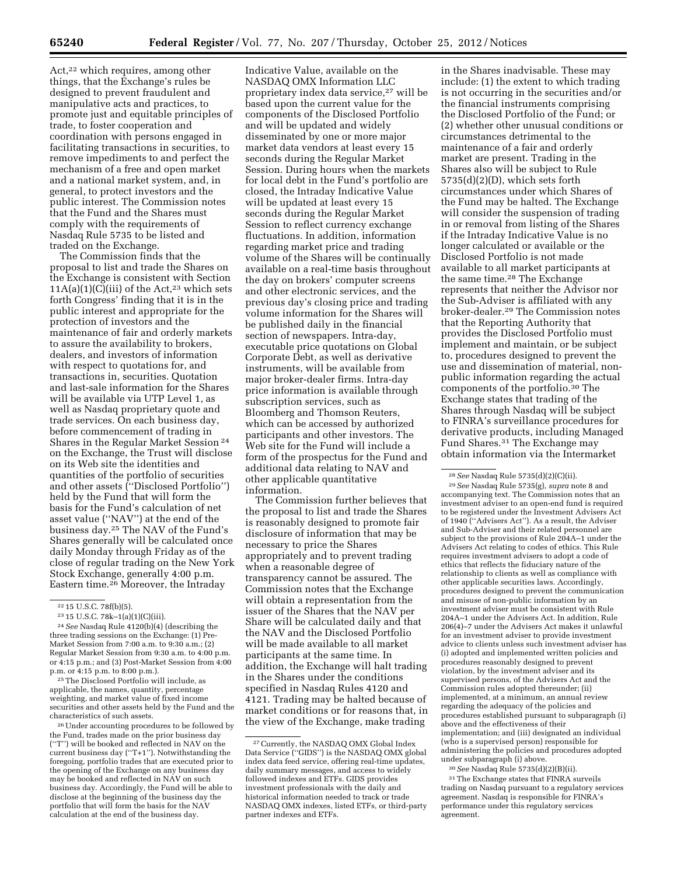Act,<sup>22</sup> which requires, among other things, that the Exchange's rules be designed to prevent fraudulent and manipulative acts and practices, to promote just and equitable principles of trade, to foster cooperation and coordination with persons engaged in facilitating transactions in securities, to remove impediments to and perfect the mechanism of a free and open market and a national market system, and, in general, to protect investors and the public interest. The Commission notes that the Fund and the Shares must comply with the requirements of Nasdaq Rule 5735 to be listed and traded on the Exchange.

The Commission finds that the proposal to list and trade the Shares on the Exchange is consistent with Section  $11A(a)(1)(C)(iii)$  of the Act,<sup>23</sup> which sets forth Congress' finding that it is in the public interest and appropriate for the protection of investors and the maintenance of fair and orderly markets to assure the availability to brokers, dealers, and investors of information with respect to quotations for, and transactions in, securities. Quotation and last-sale information for the Shares will be available via UTP Level 1, as well as Nasdaq proprietary quote and trade services. On each business day, before commencement of trading in Shares in the Regular Market Session 24 on the Exchange, the Trust will disclose on its Web site the identities and quantities of the portfolio of securities and other assets (''Disclosed Portfolio'') held by the Fund that will form the basis for the Fund's calculation of net asset value (''NAV'') at the end of the business day.25 The NAV of the Fund's Shares generally will be calculated once daily Monday through Friday as of the close of regular trading on the New York Stock Exchange, generally 4:00 p.m. Eastern time.26 Moreover, the Intraday

25The Disclosed Portfolio will include, as applicable, the names, quantity, percentage weighting, and market value of fixed income securities and other assets held by the Fund and the characteristics of such assets.

26Under accounting procedures to be followed by the Fund, trades made on the prior business day (''T'') will be booked and reflected in NAV on the current business day (''T+1''). Notwithstanding the foregoing, portfolio trades that are executed prior to the opening of the Exchange on any business day may be booked and reflected in NAV on such business day. Accordingly, the Fund will be able to disclose at the beginning of the business day the portfolio that will form the basis for the NAV calculation at the end of the business day.

Indicative Value, available on the NASDAQ OMX Information LLC proprietary index data service,27 will be based upon the current value for the components of the Disclosed Portfolio and will be updated and widely disseminated by one or more major market data vendors at least every 15 seconds during the Regular Market Session. During hours when the markets for local debt in the Fund's portfolio are closed, the Intraday Indicative Value will be updated at least every 15 seconds during the Regular Market Session to reflect currency exchange fluctuations. In addition, information regarding market price and trading volume of the Shares will be continually available on a real-time basis throughout the day on brokers' computer screens and other electronic services, and the previous day's closing price and trading volume information for the Shares will be published daily in the financial section of newspapers. Intra-day, executable price quotations on Global Corporate Debt, as well as derivative instruments, will be available from major broker-dealer firms. Intra-day price information is available through subscription services, such as Bloomberg and Thomson Reuters, which can be accessed by authorized participants and other investors. The Web site for the Fund will include a form of the prospectus for the Fund and additional data relating to NAV and other applicable quantitative information.

The Commission further believes that the proposal to list and trade the Shares is reasonably designed to promote fair disclosure of information that may be necessary to price the Shares appropriately and to prevent trading when a reasonable degree of transparency cannot be assured. The Commission notes that the Exchange will obtain a representation from the issuer of the Shares that the NAV per Share will be calculated daily and that the NAV and the Disclosed Portfolio will be made available to all market participants at the same time. In addition, the Exchange will halt trading in the Shares under the conditions specified in Nasdaq Rules 4120 and 4121. Trading may be halted because of market conditions or for reasons that, in the view of the Exchange, make trading

in the Shares inadvisable. These may include: (1) the extent to which trading is not occurring in the securities and/or the financial instruments comprising the Disclosed Portfolio of the Fund; or (2) whether other unusual conditions or circumstances detrimental to the maintenance of a fair and orderly market are present. Trading in the Shares also will be subject to Rule  $5735(d)(2)(D)$ , which sets forth circumstances under which Shares of the Fund may be halted. The Exchange will consider the suspension of trading in or removal from listing of the Shares if the Intraday Indicative Value is no longer calculated or available or the Disclosed Portfolio is not made available to all market participants at the same time.28 The Exchange represents that neither the Advisor nor the Sub-Adviser is affiliated with any broker-dealer.29 The Commission notes that the Reporting Authority that provides the Disclosed Portfolio must implement and maintain, or be subject to, procedures designed to prevent the use and dissemination of material, nonpublic information regarding the actual components of the portfolio.30 The Exchange states that trading of the Shares through Nasdaq will be subject to FINRA's surveillance procedures for derivative products, including Managed Fund Shares.31 The Exchange may obtain information via the Intermarket

29*See* Nasdaq Rule 5735(g), *supra* note 8 and accompanying text. The Commission notes that an investment adviser to an open-end fund is required to be registered under the Investment Advisers Act of 1940 (''Advisers Act''). As a result, the Adviser and Sub-Adviser and their related personnel are subject to the provisions of Rule 204A–1 under the Advisers Act relating to codes of ethics. This Rule requires investment advisers to adopt a code of ethics that reflects the fiduciary nature of the relationship to clients as well as compliance with other applicable securities laws. Accordingly, procedures designed to prevent the communication and misuse of non-public information by an investment adviser must be consistent with Rule 204A–1 under the Advisers Act. In addition, Rule 206(4)–7 under the Advisers Act makes it unlawful for an investment adviser to provide investment advice to clients unless such investment adviser has (i) adopted and implemented written policies and procedures reasonably designed to prevent violation, by the investment adviser and its supervised persons, of the Advisers Act and the Commission rules adopted thereunder; (ii) implemented, at a minimum, an annual review regarding the adequacy of the policies and procedures established pursuant to subparagraph (i) above and the effectiveness of their implementation; and (iii) designated an individual (who is a supervised person) responsible for administering the policies and procedures adopted under subparagraph (i) above.

30*See* Nasdaq Rule 5735(d)(2)(B)(ii).

 $\rm ^{31}$  The Exchange states that FINRA surveils trading on Nasdaq pursuant to a regulatory services agreement. Nasdaq is responsible for FINRA's performance under this regulatory services agreement.

<sup>22</sup> 15 U.S.C. 78f(b)(5).

<sup>23</sup> 15 U.S.C. 78k–1(a)(1)(C)(iii).

<sup>24</sup>*See* Nasdaq Rule 4120(b)(4) (describing the three trading sessions on the Exchange: (1) Pre-Market Session from 7:00 a.m. to 9:30 a.m.; (2) Regular Market Session from 9:30 a.m. to 4:00 p.m. or 4:15 p.m.; and (3) Post-Market Session from 4:00 p.m. or 4:15 p.m. to 8:00 p.m.).

<sup>27</sup>Currently, the NASDAQ OMX Global Index Data Service (''GIDS'') is the NASDAQ OMX global index data feed service, offering real-time updates, daily summary messages, and access to widely followed indexes and ETFs. GIDS provides investment professionals with the daily and historical information needed to track or trade NASDAQ OMX indexes, listed ETFs, or third-party partner indexes and ETFs.

<sup>28</sup>*See* Nasdaq Rule 5735(d)(2)(C)(ii).